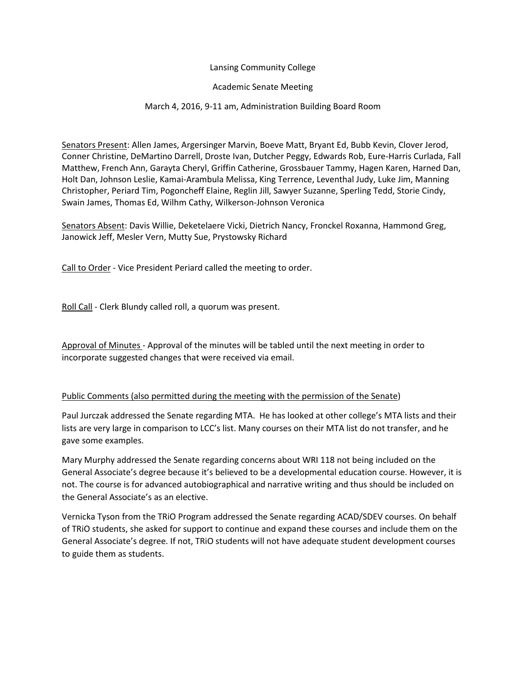### Lansing Community College

## Academic Senate Meeting

# March 4, 2016, 9-11 am, Administration Building Board Room

Senators Present: Allen James, Argersinger Marvin, Boeve Matt, Bryant Ed, Bubb Kevin, Clover Jerod, Conner Christine, DeMartino Darrell, Droste Ivan, Dutcher Peggy, Edwards Rob, Eure-Harris Curlada, Fall Matthew, French Ann, Garayta Cheryl, Griffin Catherine, Grossbauer Tammy, Hagen Karen, Harned Dan, Holt Dan, Johnson Leslie, Kamai-Arambula Melissa, King Terrence, Leventhal Judy, Luke Jim, Manning Christopher, Periard Tim, Pogoncheff Elaine, Reglin Jill, Sawyer Suzanne, Sperling Tedd, Storie Cindy, Swain James, Thomas Ed, Wilhm Cathy, Wilkerson-Johnson Veronica

Senators Absent: Davis Willie, Deketelaere Vicki, Dietrich Nancy, Fronckel Roxanna, Hammond Greg, Janowick Jeff, Mesler Vern, Mutty Sue, Prystowsky Richard

Call to Order - Vice President Periard called the meeting to order.

Roll Call - Clerk Blundy called roll, a quorum was present.

Approval of Minutes - Approval of the minutes will be tabled until the next meeting in order to incorporate suggested changes that were received via email.

### Public Comments (also permitted during the meeting with the permission of the Senate)

Paul Jurczak addressed the Senate regarding MTA. He has looked at other college's MTA lists and their lists are very large in comparison to LCC's list. Many courses on their MTA list do not transfer, and he gave some examples.

Mary Murphy addressed the Senate regarding concerns about WRI 118 not being included on the General Associate's degree because it's believed to be a developmental education course. However, it is not. The course is for advanced autobiographical and narrative writing and thus should be included on the General Associate's as an elective.

Vernicka Tyson from the TRiO Program addressed the Senate regarding ACAD/SDEV courses. On behalf of TRiO students, she asked for support to continue and expand these courses and include them on the General Associate's degree. If not, TRiO students will not have adequate student development courses to guide them as students.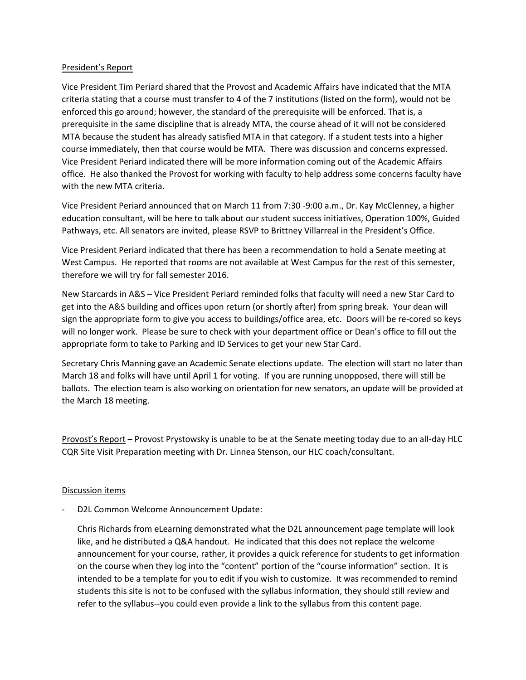#### President's Report

Vice President Tim Periard shared that the Provost and Academic Affairs have indicated that the MTA criteria stating that a course must transfer to 4 of the 7 institutions (listed on the form), would not be enforced this go around; however, the standard of the prerequisite will be enforced. That is, a prerequisite in the same discipline that is already MTA, the course ahead of it will not be considered MTA because the student has already satisfied MTA in that category. If a student tests into a higher course immediately, then that course would be MTA. There was discussion and concerns expressed. Vice President Periard indicated there will be more information coming out of the Academic Affairs office. He also thanked the Provost for working with faculty to help address some concerns faculty have with the new MTA criteria.

Vice President Periard announced that on March 11 from 7:30 -9:00 a.m., Dr. Kay McClenney, a higher education consultant, will be here to talk about our student success initiatives, Operation 100%, Guided Pathways, etc. All senators are invited, please RSVP to Brittney Villarreal in the President's Office.

Vice President Periard indicated that there has been a recommendation to hold a Senate meeting at West Campus. He reported that rooms are not available at West Campus for the rest of this semester, therefore we will try for fall semester 2016.

New Starcards in A&S – Vice President Periard reminded folks that faculty will need a new Star Card to get into the A&S building and offices upon return (or shortly after) from spring break. Your dean will sign the appropriate form to give you access to buildings/office area, etc. Doors will be re-cored so keys will no longer work. Please be sure to check with your department office or Dean's office to fill out the appropriate form to take to Parking and ID Services to get your new Star Card.

Secretary Chris Manning gave an Academic Senate elections update. The election will start no later than March 18 and folks will have until April 1 for voting. If you are running unopposed, there will still be ballots. The election team is also working on orientation for new senators, an update will be provided at the March 18 meeting.

Provost's Report – Provost Prystowsky is unable to be at the Senate meeting today due to an all-day HLC CQR Site Visit Preparation meeting with Dr. Linnea Stenson, our HLC coach/consultant.

### Discussion items

D2L Common Welcome Announcement Update:

Chris Richards from eLearning demonstrated what the D2L announcement page template will look like, and he distributed a Q&A handout. He indicated that this does not replace the welcome announcement for your course, rather, it provides a quick reference for students to get information on the course when they log into the "content" portion of the "course information" section. It is intended to be a template for you to edit if you wish to customize. It was recommended to remind students this site is not to be confused with the syllabus information, they should still review and refer to the syllabus--you could even provide a link to the syllabus from this content page.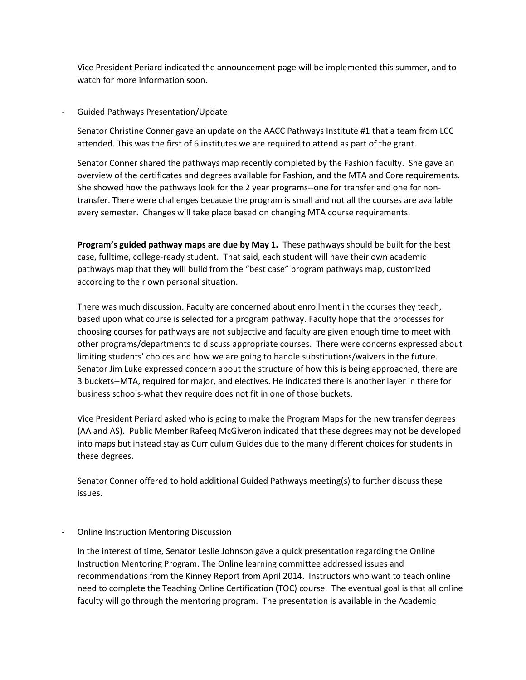Vice President Periard indicated the announcement page will be implemented this summer, and to watch for more information soon.

- Guided Pathways Presentation/Update

Senator Christine Conner gave an update on the AACC Pathways Institute #1 that a team from LCC attended. This was the first of 6 institutes we are required to attend as part of the grant.

Senator Conner shared the pathways map recently completed by the Fashion faculty. She gave an overview of the certificates and degrees available for Fashion, and the MTA and Core requirements. She showed how the pathways look for the 2 year programs--one for transfer and one for nontransfer. There were challenges because the program is small and not all the courses are available every semester. Changes will take place based on changing MTA course requirements.

**Program's guided pathway maps are due by May 1.** These pathways should be built for the best case, fulltime, college-ready student. That said, each student will have their own academic pathways map that they will build from the "best case" program pathways map, customized according to their own personal situation.

There was much discussion. Faculty are concerned about enrollment in the courses they teach, based upon what course is selected for a program pathway. Faculty hope that the processes for choosing courses for pathways are not subjective and faculty are given enough time to meet with other programs/departments to discuss appropriate courses. There were concerns expressed about limiting students' choices and how we are going to handle substitutions/waivers in the future. Senator Jim Luke expressed concern about the structure of how this is being approached, there are 3 buckets--MTA, required for major, and electives. He indicated there is another layer in there for business schools-what they require does not fit in one of those buckets.

Vice President Periard asked who is going to make the Program Maps for the new transfer degrees (AA and AS). Public Member Rafeeq McGiveron indicated that these degrees may not be developed into maps but instead stay as Curriculum Guides due to the many different choices for students in these degrees.

Senator Conner offered to hold additional Guided Pathways meeting(s) to further discuss these issues.

- Online Instruction Mentoring Discussion

In the interest of time, Senator Leslie Johnson gave a quick presentation regarding the Online Instruction Mentoring Program. The Online learning committee addressed issues and recommendations from the Kinney Report from April 2014. Instructors who want to teach online need to complete the Teaching Online Certification (TOC) course. The eventual goal is that all online faculty will go through the mentoring program. The presentation is available in the Academic